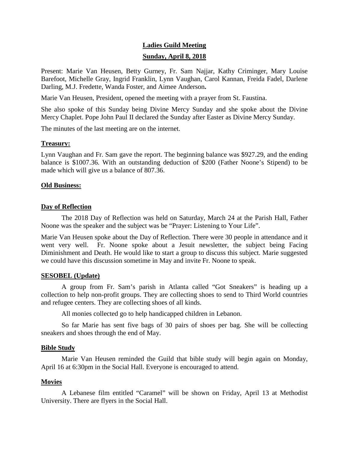# **Ladies Guild Meeting Sunday, April 8, 2018**

Present: Marie Van Heusen, Betty Gurney, Fr. Sam Najjar, Kathy Criminger, Mary Louise Barefoot, Michelle Gray, Ingrid Franklin, Lynn Vaughan, Carol Kannan, Freida Fadel, Darlene Darling, M.J. Fredette, Wanda Foster, and Aimee Anderson**.**

Marie Van Heusen, President, opened the meeting with a prayer from St. Faustina.

She also spoke of this Sunday being Divine Mercy Sunday and she spoke about the Divine Mercy Chaplet. Pope John Paul II declared the Sunday after Easter as Divine Mercy Sunday.

The minutes of the last meeting are on the internet.

# **Treasury:**

Lynn Vaughan and Fr. Sam gave the report. The beginning balance was \$927.29, and the ending balance is \$1007.36. With an outstanding deduction of \$200 (Father Noone's Stipend) to be made which will give us a balance of 807.36.

# **Old Business:**

# **Day of Reflection**

The 2018 Day of Reflection was held on Saturday, March 24 at the Parish Hall, Father Noone was the speaker and the subject was be "Prayer: Listening to Your Life".

Marie Van Heusen spoke about the Day of Reflection. There were 30 people in attendance and it went very well. Fr. Noone spoke about a Jesuit newsletter, the subject being Facing Diminishment and Death. He would like to start a group to discuss this subject. Marie suggested we could have this discussion sometime in May and invite Fr. Noone to speak.

## **SESOBEL (Update)**

A group from Fr. Sam's parish in Atlanta called "Got Sneakers" is heading up a collection to help non-profit groups. They are collecting shoes to send to Third World countries and refugee centers. They are collecting shoes of all kinds.

All monies collected go to help handicapped children in Lebanon.

So far Marie has sent five bags of 30 pairs of shoes per bag. She will be collecting sneakers and shoes through the end of May.

## **Bible Study**

Marie Van Heusen reminded the Guild that bible study will begin again on Monday, April 16 at 6:30pm in the Social Hall. Everyone is encouraged to attend.

# **Movies**

A Lebanese film entitled "Caramel" will be shown on Friday, April 13 at Methodist University. There are flyers in the Social Hall.